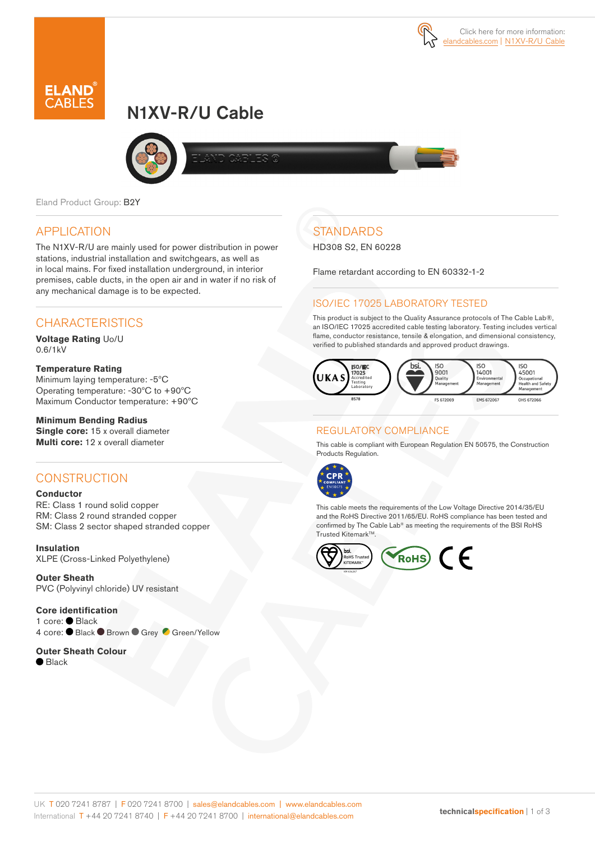

# N1XV-R/U Cable



Eland Product Group: B2Y

### APPLICATION

The N1XV-R/U are mainly used for power distribution in power stations, industrial installation and switchgears, as well as in local mains. For fixed installation underground, in interior premises, cable ducts, in the open air and in water if no risk of any mechanical damage is to be expected.

### **CHARACTERISTICS**

**Voltage Rating** Uo/U 0.6/1kV

#### **Temperature Rating**

Minimum laying temperature: -5ºC Operating temperature: -30ºC to +90ºC Maximum Conductor temperature: +90ºC

### **Minimum Bending Radius**

**Single core:** 15 x overall diameter **Multi core:** 12 x overall diameter

### **CONSTRUCTION**

#### **Conductor**

RE: Class 1 round solid copper RM: Class 2 round stranded copper SM: Class 2 sector shaped stranded copper

#### **Insulation** XLPE (Cross-Linked Polyethylene)

**Outer Sheath**  PVC (Polyvinyl chloride) UV resistant

**Core identification**  1 core: Black 4 core: ● Black ● Brown ● Grey ● Green/Yellow

**Outer Sheath Colour**  $\bullet$  Black

## **STANDARDS**

HD308 S2, EN 60228

Flame retardant according to EN 60332-1-2

### ISO/IEC 17025 LABORATORY TESTED

This product is subject to the Quality Assurance protocols of The Cable Lab®, an ISO/IEC 17025 accredited cable testing laboratory. Testing includes vertical flame, conductor resistance, tensile & elongation, and dimensional consistency, verified to published standards and approved product drawings.



### REGULATORY COMPLIANCE

This cable is compliant with European Regulation EN 50575, the Construction Products Regulation.



This cable meets the requirements of the Low Voltage Directive 2014/35/EU and the RoHS Directive 2011/65/EU. RoHS compliance has been tested and confirmed by The Cable Lab® as meeting the requirements of the BSI RoHS Trusted Kitemark™.



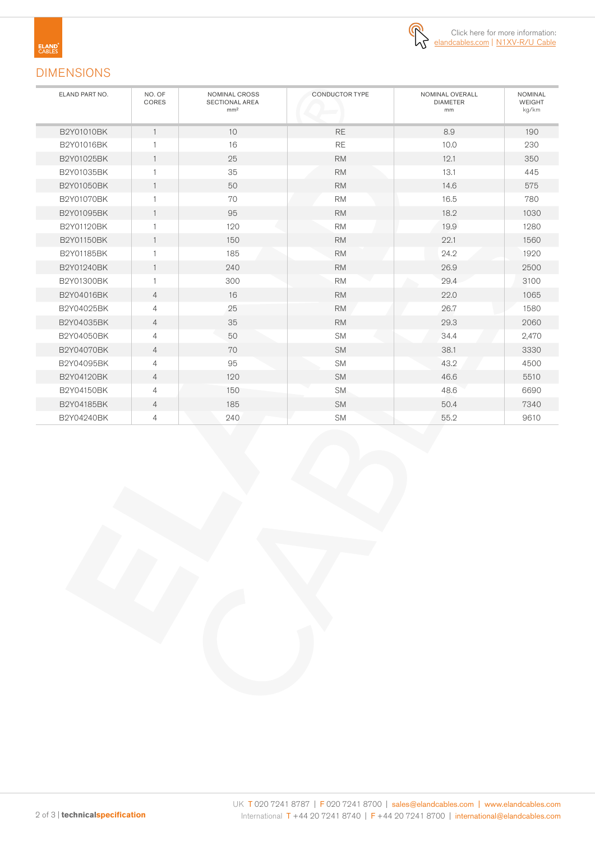



### DIMENSIONS

| ELAND PART NO. | NO. OF<br>CORES | NOMINAL CROSS<br><b>SECTIONAL AREA</b><br>mm <sup>2</sup> | CONDUCTOR TYPE | NOMINAL OVERALL<br><b>DIAMETER</b><br>mm | <b>NOMINAL</b><br><b>WEIGHT</b><br>kg/km |
|----------------|-----------------|-----------------------------------------------------------|----------------|------------------------------------------|------------------------------------------|
| B2Y01010BK     | 1               | 10                                                        | <b>RE</b>      | 8.9                                      | 190                                      |
| B2Y01016BK     | 1               | 16                                                        | <b>RE</b>      | 10.0                                     | 230                                      |
| B2Y01025BK     | $\mathbf{1}$    | 25                                                        | <b>RM</b>      | 12.1                                     | 350                                      |
| B2Y01035BK     | 1               | 35                                                        | <b>RM</b>      | 13.1                                     | 445                                      |
| B2Y01050BK     | $\mathbf{1}$    | 50                                                        | <b>RM</b>      | 14.6                                     | 575                                      |
| B2Y01070BK     | 1               | 70                                                        | <b>RM</b>      | 16.5                                     | 780                                      |
| B2Y01095BK     | $\mathbf{1}$    | 95                                                        | <b>RM</b>      | 18.2                                     | 1030                                     |
| B2Y01120BK     | 1               | 120                                                       | <b>RM</b>      | 19.9                                     | 1280                                     |
| B2Y01150BK     | $\mathbf{1}$    | 150                                                       | <b>RM</b>      | 22.1                                     | 1560                                     |
| B2Y01185BK     | 1               | 185                                                       | <b>RM</b>      | 24.2                                     | 1920                                     |
| B2Y01240BK     | $\mathbf{1}$    | 240                                                       | <b>RM</b>      | 26.9                                     | 2500                                     |
| B2Y01300BK     | 1               | 300                                                       | <b>RM</b>      | 29.4                                     | 3100                                     |
| B2Y04016BK     | $\overline{4}$  | 16                                                        | <b>RM</b>      | 22.0                                     | 1065                                     |
| B2Y04025BK     | 4               | 25                                                        | <b>RM</b>      | 26.7                                     | 1580                                     |
| B2Y04035BK     | $\overline{4}$  | 35                                                        | <b>RM</b>      | 29.3                                     | 2060                                     |
| B2Y04050BK     | $\overline{4}$  | 50                                                        | <b>SM</b>      | 34.4                                     | 2,470                                    |
| B2Y04070BK     | $\overline{4}$  | 70                                                        | <b>SM</b>      | 38.1                                     | 3330                                     |
| B2Y04095BK     | $\overline{4}$  | 95                                                        | <b>SM</b>      | 43.2                                     | 4500                                     |
| B2Y04120BK     | $\overline{4}$  | 120                                                       | <b>SM</b>      | 46.6                                     | 5510                                     |
| B2Y04150BK     | 4               | 150                                                       | <b>SM</b>      | 48.6                                     | 6690                                     |
| B2Y04185BK     | 4               | 185                                                       | <b>SM</b>      | 50.4                                     | 7340                                     |
| B2Y04240BK     | 4               | 240                                                       | <b>SM</b>      | 55.2                                     | 9610                                     |